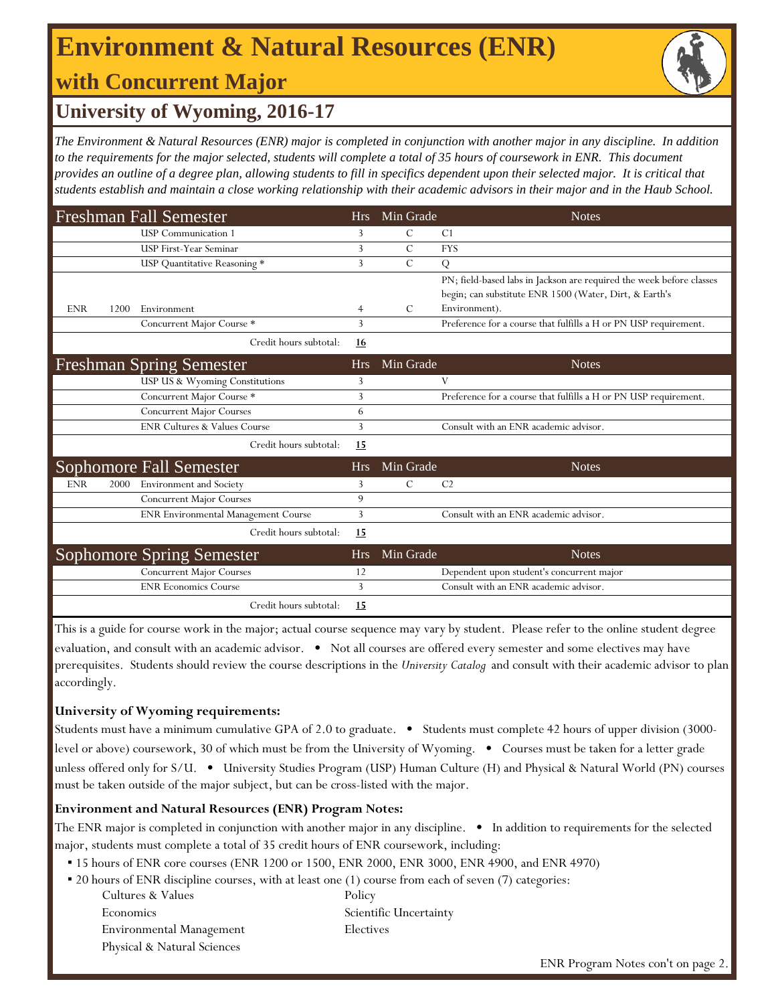## **Environment & Natural Resources (ENR)**

## **with Concurrent Major**



### **University of Wyoming, 2016-17**

*The Environment & Natural Resources (ENR) major is completed in conjunction with another major in any discipline. In addition to the requirements for the major selected, students will complete a total of 35 hours of coursework in ENR. This document provides an outline of a degree plan, allowing students to fill in specifics dependent upon their selected major. It is critical that students establish and maintain a close working relationship with their academic advisors in their major and in the Haub School.* 

|            |      | <b>Freshman Fall Semester</b>           | Hrs        | Min Grade     | <b>Notes</b>                                                            |
|------------|------|-----------------------------------------|------------|---------------|-------------------------------------------------------------------------|
|            |      | <b>USP</b> Communication 1              | 3          | C             | C <sub>1</sub>                                                          |
|            |      | <b>USP First-Year Seminar</b>           | 3          | $\mathcal{C}$ | <b>FYS</b>                                                              |
|            |      | USP Quantitative Reasoning *            | 3          | $\mathcal{C}$ | Q                                                                       |
|            |      |                                         |            |               | PN; field-based labs in Jackson are required the week before classes    |
| <b>ENR</b> | 1200 | Environment                             | 4          | C             | begin; can substitute ENR 1500 (Water, Dirt, & Earth's<br>Environment). |
|            |      | Concurrent Major Course *               | 3          |               | Preference for a course that fulfills a H or PN USP requirement.        |
|            |      | Credit hours subtotal:                  | 16         |               |                                                                         |
|            |      | <b>Freshman Spring Semester</b>         | <b>Hrs</b> | Min Grade     | <b>Notes</b>                                                            |
|            |      | USP US & Wyoming Constitutions          | 3          |               | V                                                                       |
|            |      | Concurrent Major Course *               | 3          |               | Preference for a course that fulfills a H or PN USP requirement.        |
|            |      | Concurrent Major Courses                | 6          |               |                                                                         |
|            |      | <b>ENR Cultures &amp; Values Course</b> | 3          |               | Consult with an ENR academic advisor.                                   |
|            |      | Credit hours subtotal:                  | 15         |               |                                                                         |
|            |      | Sophomore Fall Semester                 | <b>Hrs</b> | Min Grade     | <b>Notes</b>                                                            |
| <b>ENR</b> | 2000 | <b>Environment</b> and Society          | 3          | $\mathcal{C}$ | C <sub>2</sub>                                                          |
|            |      | <b>Concurrent Major Courses</b>         | 9          |               |                                                                         |
|            |      | ENR Environmental Management Course     | 3          |               | Consult with an ENR academic advisor.                                   |
|            |      | Credit hours subtotal:                  | 15         |               |                                                                         |
|            |      | <b>Sophomore Spring Semester</b>        | Hrs        | Min Grade     | <b>Notes</b>                                                            |
|            |      | <b>Concurrent Major Courses</b>         | 12         |               | Dependent upon student's concurrent major                               |
|            |      | <b>ENR Economics Course</b>             | 3          |               | Consult with an ENR academic advisor.                                   |
|            |      | Credit hours subtotal:                  | 15         |               |                                                                         |

This is a guide for course work in the major; actual course sequence may vary by student. Please refer to the online student degree evaluation, and consult with an academic advisor. • Not all courses are offered every semester and some electives may have prerequisites. Students should review the course descriptions in the *University Catalog* and consult with their academic advisor to plan accordingly.

#### **University of Wyoming requirements:**

Students must have a minimum cumulative GPA of 2.0 to graduate. • Students must complete 42 hours of upper division (3000level or above) coursework, 30 of which must be from the University of Wyoming. • Courses must be taken for a letter grade unless offered only for S/U. • University Studies Program (USP) Human Culture (H) and Physical & Natural World (PN) courses must be taken outside of the major subject, but can be cross-listed with the major.

#### **Environment and Natural Resources (ENR) Program Notes:**

The ENR major is completed in conjunction with another major in any discipline. • In addition to requirements for the selected major, students must complete a total of 35 credit hours of ENR coursework, including:

- 15 hours of ENR core courses (ENR 1200 or 1500, ENR 2000, ENR 3000, ENR 4900, and ENR 4970)
- 20 hours of ENR discipline courses, with at least one (1) course from each of seven (7) categories:

| Cultures & Values           |  |  |  |  |  |
|-----------------------------|--|--|--|--|--|
| Economics                   |  |  |  |  |  |
| Environmental Management    |  |  |  |  |  |
| Physical & Natural Sciences |  |  |  |  |  |

Policy Scientific Uncertainty Electives